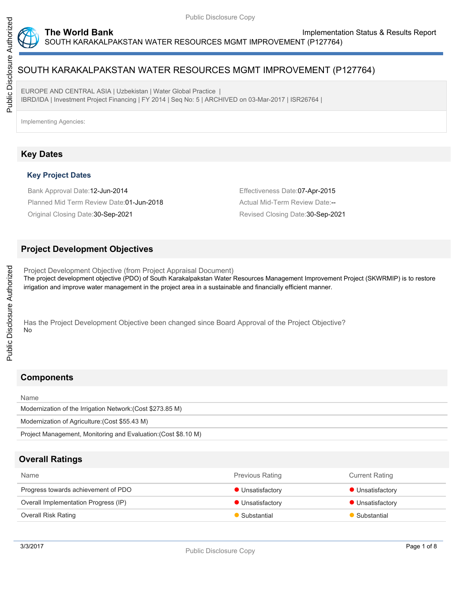

EUROPE AND CENTRAL ASIA | Uzbekistan | Water Global Practice | IBRD/IDA | Investment Project Financing | FY 2014 | Seq No: 5 | ARCHIVED on 03-Mar-2017 | ISR26764 |

Implementing Agencies:

# **Key Dates**

#### **Key Project Dates**

Bank Approval Date:12-Jun-2014 Effectiveness Date:07-Apr-2015 Planned Mid Term Review Date:01-Jun-2018 Actual Mid-Term Review Date:--Original Closing Date:30-Sep-2021 Revised Closing Date:30-Sep-2021

### **Project Development Objectives**

Project Development Objective (from Project Appraisal Document) The project development objective (PDO) of South Karakalpakstan Water Resources Management Improvement Project (SKWRMIP) is to restore irrigation and improve water management in the project area in a sustainable and financially efficient manner.

Has the Project Development Objective been changed since Board Approval of the Project Objective? No

# **Components**

# Name Modernization of the Irrigation Network:(Cost \$273.85 M) Modernization of Agriculture:(Cost \$55.43 M) Project Management, Monitoring and Evaluation:(Cost \$8.10 M)

# **Overall Ratings**

| <b>Current Rating</b> |
|-----------------------|
| ● Unsatisfactory      |
| • Unsatisfactory      |
| Substantial           |
|                       |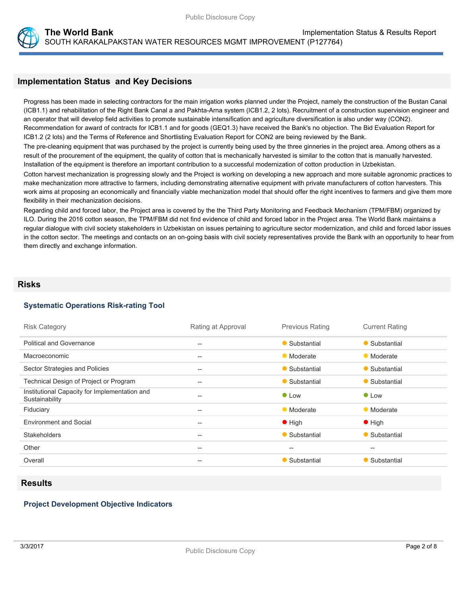

### **Implementation Status and Key Decisions**

Progress has been made in selecting contractors for the main irrigation works planned under the Project, namely the construction of the Bustan Canal (ICB1.1) and rehabilitation of the Right Bank Canal a and Pakhta-Arna system (ICB1.2, 2 lots). Recruitment of a construction supervision engineer and an operator that will develop field activities to promote sustainable intensification and agriculture diversification is also under way (CON2). Recommendation for award of contracts for ICB1.1 and for goods (GEQ1.3) have received the Bank's no objection. The Bid Evaluation Report for ICB1.2 (2 lots) and the Terms of Reference and Shortlisting Evaluation Report for CON2 are being reviewed by the Bank.

The pre-cleaning equipment that was purchased by the project is currently being used by the three ginneries in the project area. Among others as a result of the procurement of the equipment, the quality of cotton that is mechanically harvested is similar to the cotton that is manually harvested. Installation of the equipment is therefore an important contribution to a successful modernization of cotton production in Uzbekistan.

Cotton harvest mechanization is progressing slowly and the Project is working on developing a new approach and more suitable agronomic practices to make mechanization more attractive to farmers, including demonstrating alternative equipment with private manufacturers of cotton harvesters. This work aims at proposing an economically and financially viable mechanization model that should offer the right incentives to farmers and give them more flexibility in their mechanization decisions.

Regarding child and forced labor, the Project area is covered by the the Third Party Monitoring and Feedback Mechanism (TPM/FBM) organized by ILO. During the 2016 cotton season, the TPM/FBM did not find evidence of child and forced labor in the Project area. The World Bank maintains a regular dialogue with civil society stakeholders in Uzbekistan on issues pertaining to agriculture sector modernization, and child and forced labor issues in the cotton sector. The meetings and contacts on an on-going basis with civil society representatives provide the Bank with an opportunity to hear from them directly and exchange information.

#### **Risks**

#### **Systematic Operations Risk-rating Tool**

| <b>Risk Category</b>                                            | Rating at Approval                                  | <b>Previous Rating</b>                              | <b>Current Rating</b> |
|-----------------------------------------------------------------|-----------------------------------------------------|-----------------------------------------------------|-----------------------|
| <b>Political and Governance</b>                                 | $\qquad \qquad -$                                   | • Substantial                                       | • Substantial         |
| Macroeconomic                                                   | $\hspace{0.05cm} -\hspace{0.05cm} -\hspace{0.05cm}$ | • Moderate                                          | • Moderate            |
| Sector Strategies and Policies                                  | $\qquad \qquad -$                                   | • Substantial                                       | • Substantial         |
| Technical Design of Project or Program                          | $- -$                                               | • Substantial                                       | • Substantial         |
| Institutional Capacity for Implementation and<br>Sustainability | $\hspace{0.05cm} -\hspace{0.05cm} -\hspace{0.05cm}$ | $\bullet$ Low                                       | $\bullet$ Low         |
| Fiduciary                                                       | $\hspace{0.05cm} -\hspace{0.05cm} -\hspace{0.05cm}$ | • Moderate                                          | • Moderate            |
| <b>Environment and Social</b>                                   | $\hspace{0.05cm} -\hspace{0.05cm} -\hspace{0.05cm}$ | $\bullet$ High                                      | $\bullet$ High        |
| <b>Stakeholders</b>                                             | $\qquad \qquad -$                                   | • Substantial                                       | • Substantial         |
| Other                                                           | $\hspace{0.05cm} -\hspace{0.05cm} -\hspace{0.05cm}$ | $\hspace{0.05cm} -\hspace{0.05cm} -\hspace{0.05cm}$ | $- -$                 |
| Overall                                                         | --                                                  | • Substantial                                       | • Substantial         |

### **Results**

#### **Project Development Objective Indicators**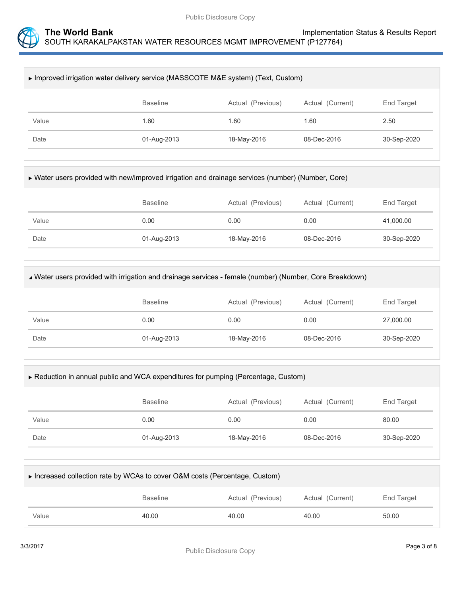

| ► Improved irrigation water delivery service (MASSCOTE M&E system) (Text, Custom) |                 |                   |                  |             |  |
|-----------------------------------------------------------------------------------|-----------------|-------------------|------------------|-------------|--|
|                                                                                   | <b>Baseline</b> | Actual (Previous) | Actual (Current) | End Target  |  |
| Value                                                                             | 1.60            | 1.60              | 1.60             | 2.50        |  |
| Date                                                                              | 01-Aug-2013     | 18-May-2016       | 08-Dec-2016      | 30-Sep-2020 |  |
|                                                                                   |                 |                   |                  |             |  |

| ► Water users provided with new/improved irrigation and drainage services (number) (Number, Core) |                 |                   |                  |             |  |
|---------------------------------------------------------------------------------------------------|-----------------|-------------------|------------------|-------------|--|
|                                                                                                   | <b>Baseline</b> | Actual (Previous) | Actual (Current) | End Target  |  |
| Value                                                                                             | 0.00            | 0.00              | 0.00             | 41,000.00   |  |
| Date                                                                                              | 01-Aug-2013     | 18-May-2016       | 08-Dec-2016      | 30-Sep-2020 |  |
|                                                                                                   |                 |                   |                  |             |  |

| Mater users provided with irrigation and drainage services - female (number) (Number, Core Breakdown) |                 |                   |                   |             |  |
|-------------------------------------------------------------------------------------------------------|-----------------|-------------------|-------------------|-------------|--|
|                                                                                                       | <b>Baseline</b> | Actual (Previous) | Actual (Current)  | End Target  |  |
| Value                                                                                                 | 0.00            | 0.00              | 0.00              | 27,000.00   |  |
| Date                                                                                                  | 01-Aug-2013     | 18-May-2016       | $08 - Dec - 2016$ | 30-Sep-2020 |  |
|                                                                                                       |                 |                   |                   |             |  |

| ► Reduction in annual public and WCA expenditures for pumping (Percentage, Custom) |  |
|------------------------------------------------------------------------------------|--|
|------------------------------------------------------------------------------------|--|

|       | <b>Baseline</b> | Actual (Previous) | Actual (Current) | End Target  |
|-------|-----------------|-------------------|------------------|-------------|
| Value | 0.00            | 0.00              | 0.00             | 80.00       |
| Date  | 01-Aug-2013     | 18-May-2016       | 08-Dec-2016      | 30-Sep-2020 |

| ► Increased collection rate by WCAs to cover O&M costs (Percentage, Custom) |                 |                   |                  |            |  |
|-----------------------------------------------------------------------------|-----------------|-------------------|------------------|------------|--|
|                                                                             | <b>Baseline</b> | Actual (Previous) | Actual (Current) | End Target |  |
| Value                                                                       | 40.00           | 40.00             | 40.00            | 50.00      |  |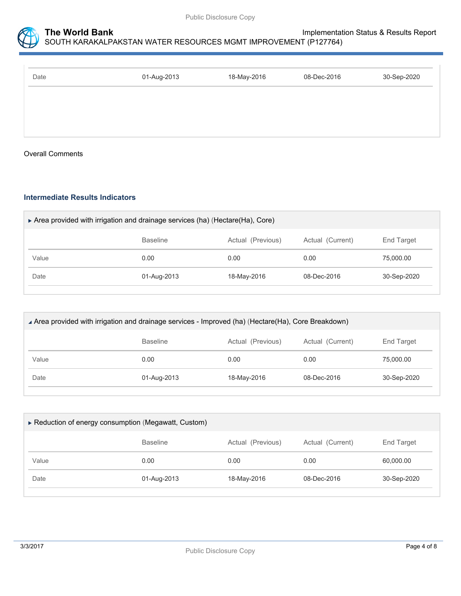

| Date | 01-Aug-2013 | 18-May-2016 | 08-Dec-2016 | 30-Sep-2020 |
|------|-------------|-------------|-------------|-------------|
|      |             |             |             |             |
|      |             |             |             |             |
|      |             |             |             |             |

#### Overall Comments

#### **Intermediate Results Indicators**

| Area provided with irrigation and drainage services (ha) (Hectare(Ha), Core) |                 |                   |                  |             |  |  |
|------------------------------------------------------------------------------|-----------------|-------------------|------------------|-------------|--|--|
|                                                                              | <b>Baseline</b> | Actual (Previous) | Actual (Current) | End Target  |  |  |
| Value                                                                        | 0.00            | 0.00              | 0.00             | 75,000.00   |  |  |
| Date                                                                         | 01-Aug-2013     | 18-May-2016       | 08-Dec-2016      | 30-Sep-2020 |  |  |
|                                                                              |                 |                   |                  |             |  |  |

| ∆ Area provided with irrigation and drainage services - Improved (ha) (Hectare(Ha), Core Breakdown) |                 |                   |                  |             |  |  |
|-----------------------------------------------------------------------------------------------------|-----------------|-------------------|------------------|-------------|--|--|
|                                                                                                     | <b>Baseline</b> | Actual (Previous) | Actual (Current) | End Target  |  |  |
| Value                                                                                               | 0.00            | 0.00              | 0.00             | 75,000.00   |  |  |
| Date                                                                                                | 01-Aug-2013     | 18-May-2016       | 08-Dec-2016      | 30-Sep-2020 |  |  |
|                                                                                                     |                 |                   |                  |             |  |  |

| Reduction of energy consumption (Megawatt, Custom) |                 |                   |                  |             |  |
|----------------------------------------------------|-----------------|-------------------|------------------|-------------|--|
|                                                    | <b>Baseline</b> | Actual (Previous) | Actual (Current) | End Target  |  |
| Value                                              | 0.00            | 0.00              | 0.00             | 60,000.00   |  |
| Date                                               | 01-Aug-2013     | 18-May-2016       | 08-Dec-2016      | 30-Sep-2020 |  |
|                                                    |                 |                   |                  |             |  |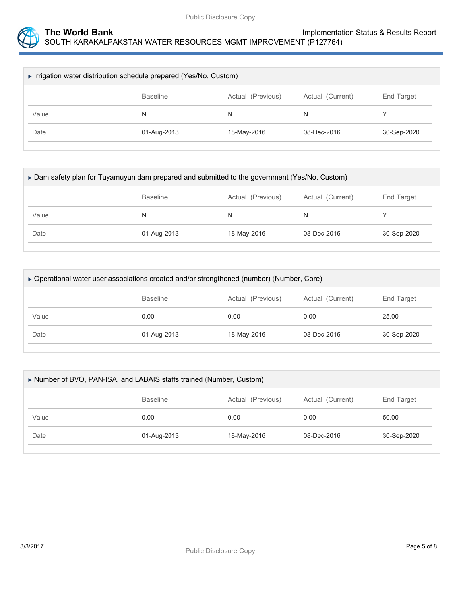

|       |                 | Irrigation water distribution schedule prepared (Yes/No, Custom) |                  |             |  |  |  |  |
|-------|-----------------|------------------------------------------------------------------|------------------|-------------|--|--|--|--|
|       | <b>Baseline</b> | Actual (Previous)                                                | Actual (Current) | End Target  |  |  |  |  |
| Value | N               | N                                                                | N                |             |  |  |  |  |
| Date  | 01-Aug-2013     | 18-May-2016                                                      | 08-Dec-2016      | 30-Sep-2020 |  |  |  |  |

| ▶ Dam safety plan for Tuyamuyun dam prepared and submitted to the government (Yes/No, Custom) |                 |                  |             |             |  |
|-----------------------------------------------------------------------------------------------|-----------------|------------------|-------------|-------------|--|
|                                                                                               | <b>Baseline</b> | Actual (Current) | End Target  |             |  |
| Value                                                                                         | N               | N                | N           |             |  |
| Date                                                                                          | 01-Aug-2013     | 18-May-2016      | 08-Dec-2016 | 30-Sep-2020 |  |
|                                                                                               |                 |                  |             |             |  |

| ▶ Operational water user associations created and/or strengthened (number) (Number, Core) |                                                          |             |                   |             |  |
|-------------------------------------------------------------------------------------------|----------------------------------------------------------|-------------|-------------------|-------------|--|
|                                                                                           | Actual (Current)<br>Actual (Previous)<br><b>Baseline</b> |             |                   |             |  |
| Value                                                                                     | 0.00                                                     | 0.00        | 0.00              | 25.00       |  |
| Date                                                                                      | 01-Aug-2013                                              | 18-May-2016 | $08 - Dec - 2016$ | 30-Sep-2020 |  |

| Number of BVO, PAN-ISA, and LABAIS staffs trained (Number, Custom) |                 |                   |                  |             |  |  |
|--------------------------------------------------------------------|-----------------|-------------------|------------------|-------------|--|--|
|                                                                    | <b>Baseline</b> | Actual (Previous) | Actual (Current) | End Target  |  |  |
| Value                                                              | 0.00            | 0.00              | 0.00             | 50.00       |  |  |
| Date                                                               | 01-Aug-2013     | 18-May-2016       | 08-Dec-2016      | 30-Sep-2020 |  |  |
|                                                                    |                 |                   |                  |             |  |  |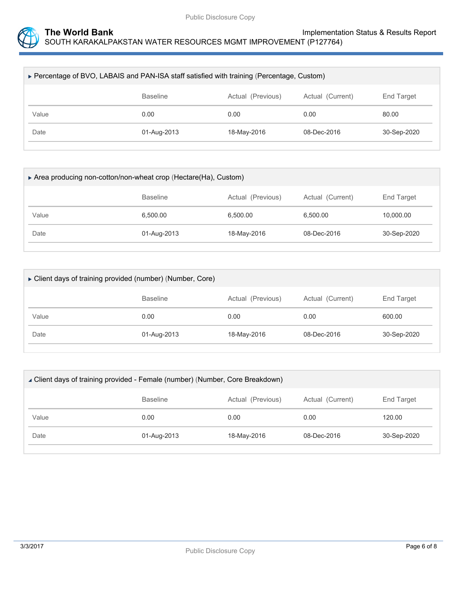

| ► Percentage of BVO, LABAIS and PAN-ISA staff satisfied with training (Percentage, Custom) |                 |                   |                  |             |  |  |
|--------------------------------------------------------------------------------------------|-----------------|-------------------|------------------|-------------|--|--|
|                                                                                            | <b>Baseline</b> | Actual (Previous) | Actual (Current) | End Target  |  |  |
| Value                                                                                      | 0.00            | 0.00              | 0.00             | 80.00       |  |  |
| Date                                                                                       | 01-Aug-2013     |                   | 08-Dec-2016      | 30-Sep-2020 |  |  |
|                                                                                            |                 |                   |                  |             |  |  |

| Area producing non-cotton/non-wheat crop (Hectare(Ha), Custom) |                                                                               |             |             |             |  |
|----------------------------------------------------------------|-------------------------------------------------------------------------------|-------------|-------------|-------------|--|
|                                                                | <b>Baseline</b><br>Actual (Current)<br><b>End Target</b><br>Actual (Previous) |             |             |             |  |
| Value                                                          | 6.500.00                                                                      | 6.500.00    | 6.500.00    | 10.000.00   |  |
| Date                                                           | 01-Aug-2013                                                                   | 18-May-2016 | 08-Dec-2016 | 30-Sep-2020 |  |

| Client days of training provided (number) (Number, Core) |                 |                   |                  |                   |  |  |
|----------------------------------------------------------|-----------------|-------------------|------------------|-------------------|--|--|
|                                                          | <b>Baseline</b> | Actual (Previous) | Actual (Current) | <b>End Target</b> |  |  |
| Value                                                    | 0.00            | 0.00              | 0.00             | 600.00            |  |  |
| Date                                                     | 01-Aug-2013     | 18-May-2016       | 08-Dec-2016      | 30-Sep-2020       |  |  |
|                                                          |                 |                   |                  |                   |  |  |

| ∡ Client days of training provided - Female (number) (Number, Core Breakdown) |                 |                            |                  |             |  |  |
|-------------------------------------------------------------------------------|-----------------|----------------------------|------------------|-------------|--|--|
|                                                                               | <b>Baseline</b> | Actual (Previous)          | Actual (Current) | End Target  |  |  |
| Value                                                                         | 0.00            | 0.00                       | 0.00             | 120.00      |  |  |
| Date                                                                          | 01-Aug-2013     | 18-May-2016<br>08-Dec-2016 |                  | 30-Sep-2020 |  |  |
|                                                                               |                 |                            |                  |             |  |  |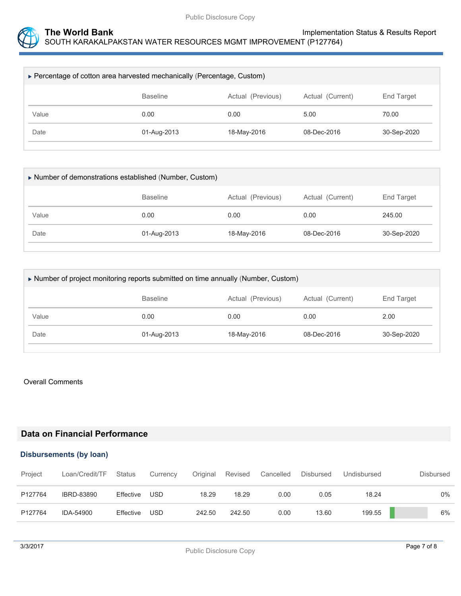

| ► Percentage of cotton area harvested mechanically (Percentage, Custom) |                 |                   |                  |             |  |  |
|-------------------------------------------------------------------------|-----------------|-------------------|------------------|-------------|--|--|
|                                                                         | <b>Baseline</b> | Actual (Previous) | Actual (Current) | End Target  |  |  |
| Value                                                                   | 0.00            | 0.00              | 5.00             | 70.00       |  |  |
| Date                                                                    | 01-Aug-2013     | 18-May-2016       | 08-Dec-2016      | 30-Sep-2020 |  |  |
|                                                                         |                 |                   |                  |             |  |  |

| Number of demonstrations established (Number, Custom) |                 |                   |                  |                   |  |
|-------------------------------------------------------|-----------------|-------------------|------------------|-------------------|--|
|                                                       | <b>Baseline</b> | Actual (Previous) | Actual (Current) | <b>End Target</b> |  |
| Value                                                 | 0.00            | 0.00              | 0.00             | 245.00            |  |
| Date                                                  | 01-Aug-2013     | 18-May-2016       | 08-Dec-2016      | 30-Sep-2020       |  |
|                                                       |                 |                   |                  |                   |  |

| Number of project monitoring reports submitted on time annually (Number, Custom) |                 |                   |                  |             |  |  |
|----------------------------------------------------------------------------------|-----------------|-------------------|------------------|-------------|--|--|
|                                                                                  | <b>Baseline</b> | Actual (Previous) | Actual (Current) | End Target  |  |  |
| Value                                                                            | 0.00            | 0.00              | 0.00             | 2.00        |  |  |
| Date                                                                             | 01-Aug-2013     | 18-May-2016       | 08-Dec-2016      | 30-Sep-2020 |  |  |

#### Overall Comments

# **Data on Financial Performance**

#### **Disbursements (by loan)**

| Project | Loan/Credit/TF    | Status    | Currency   | Original | Revised | Cancelled | Disbursed | Undisbursed | <b>Disbursed</b> |
|---------|-------------------|-----------|------------|----------|---------|-----------|-----------|-------------|------------------|
| P127764 | <b>IBRD-83890</b> | Effective | <b>USD</b> | 18.29    | 18.29   | 0.00      | 0.05      | 18.24       | 0%               |
| P127764 | IDA-54900         | Effective | <b>USD</b> | 242.50   | 242.50  | 0.00      | 13.60     | 199.55      | 6%               |